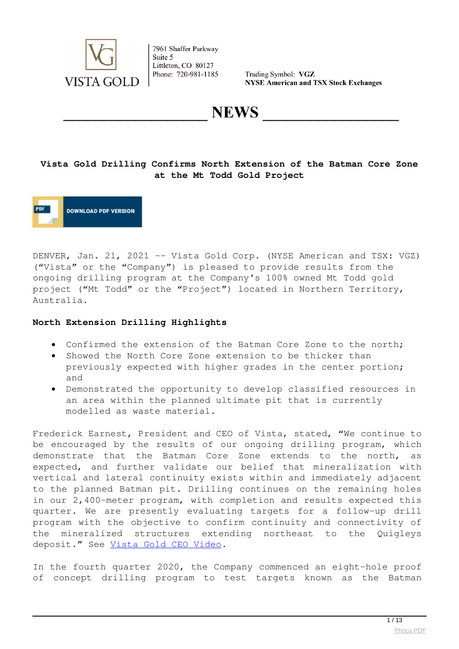

Trading Symbol: VGZ **NYSE American and TSX Stock Exchanges** 

**NEWS** 

#### **Vista Gold Drilling Confirms North Extension of the Batman Core Zone at the Mt Todd Gold Project**



DENVER, Jan. 21, 2021 -- Vista Gold Corp. (NYSE American and TSX: VGZ) ("Vista" or the "Company") is pleased to provide results from the ongoing drilling program at the Company's 100% owned Mt Todd gold project ("Mt Todd" or the "Project") located in Northern Territory, Australia.

#### **North Extension Drilling Highlights**

- Confirmed the extension of the Batman Core Zone to the north;
- Showed the North Core Zone extension to be thicker than previously expected with higher grades in the center portion; and
- Demonstrated the opportunity to develop classified resources in an area within the planned ultimate pit that is currently modelled as waste material.

Frederick Earnest, President and CEO of Vista, stated, "We continue to be encouraged by the results of our ongoing drilling program, which demonstrate that the Batman Core Zone extends to the north, as expected, and further validate our belief that mineralization with vertical and lateral continuity exists within and immediately adjacent to the planned Batman pit. Drilling continues on the remaining holes in our 2,400-meter program, with completion and results expected this quarter. We are presently evaluating targets for a follow-up drill program with the objective to confirm continuity and connectivity of the mineralized structures extending northeast to the Quigleys deposit." See [Vista Gold CEO Video](https://www.globenewswire.com/Tracker?data=gHLmctbx2EIMoSyW3Ug9rhfc04-KtwOhE3Nin1Q-pIu-E3Yyh05hhVPlCGpOxLpUK1aXwSKkGuu9iaPutDh_I4JONvLgfT0DYXgCrQ09OqEq-cvlwCWm3_dhw72PaX_wb_BONi819nOer6juond26v1yD1vvlpKKCAfwaRGoyXbCTrL0r3tapm4XPUgMOEnqlKwFWsYyMlmV6rFIh3PrCXGq8Qoah6AK__U9DESwrkzG5oi2crFeFh3rGUr6uDdXxD1OTJUJvzRiuJ2WZ5if46ja3IN7TB2YrPdpFCFSC6ZdpSKH4Fnf9yPC52fl1C9345s54LhfMNd0ckKXgQo2Xd_ekS2tcyFGsfwYoG70lHEr8KIIW4GrGSK8khvQjnTjT4NsAgIEG-SWx_651tFF9mK6aPuKqA5EtkZ1ih1I7NugdwqFLUl4iYQRJ9ZkRgFs8C1AXKZHSk3Skv2ZWzXg_8BBjS2rzVw2noc5ZyKDFGN3JIwj40jYmfne_cDE2dPq18utwIFA8BPJuid4Efz_nvCsnQZwjH16gwOsTz1yaIa1n1dafNAFuCczGcJiSx0mrVbkehfF4VaMf8j655QQZKEt9G8gF7Q_r9kqBnshHmetw1yOtEmaJuFO8FuqC7aM)*.*

In the fourth quarter 2020, the Company commenced an eight-hole proof of concept drilling program to test targets known as the Batman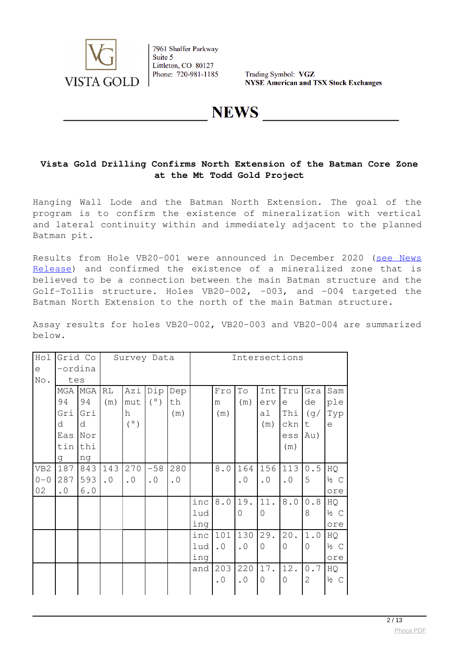

Trading Symbol: VGZ **NYSE American and TSX Stock Exchanges** 

## **NEWS**

#### **Vista Gold Drilling Confirms North Extension of the Batman Core Zone at the Mt Todd Gold Project**

Hanging Wall Lode and the Batman North Extension. The goal of the program is to confirm the existence of mineralization with vertical and lateral continuity within and immediately adjacent to the planned Batman pit.

Results from Hole VB20-001 were announced in December 2020 ([see News](https://www.globenewswire.com/Tracker?data=yiax9orF_xDRS42CZ7Uyldc1mNIPXxhGo1WpcYl0VmoIOJpcIRSNqu27cW0AGf1Fb6WD_hpNau35Kl0GKxCnakSFUuKQRu9UmT-cJiA77BdJPwoXeCvAtAd6hOVb3vornFsRy4PIPVaOOGXFmSSn9Q6axAOi7Zg6x04fkipuzCEnEYFLLbn8uFQpOXKBeEmjw5xB55HqU3TBSgwtRSGG3Q==) [Release\)](https://www.globenewswire.com/Tracker?data=yiax9orF_xDRS42CZ7Uyldc1mNIPXxhGo1WpcYl0VmoIOJpcIRSNqu27cW0AGf1Fb6WD_hpNau35Kl0GKxCnakSFUuKQRu9UmT-cJiA77BdJPwoXeCvAtAd6hOVb3vornFsRy4PIPVaOOGXFmSSn9Q6axAOi7Zg6x04fkipuzCEnEYFLLbn8uFQpOXKBeEmjw5xB55HqU3TBSgwtRSGG3Q==) and confirmed the existence of a mineralized zone that is believed to be a connection between the main Batman structure and the Golf-Tollis structure. Holes VB20-002, -003, and -004 targeted the Batman North Extension to the north of the main Batman structure.

Assay results for holes VB20-002, VB20-003 and VB20-004 are summarized below.

| Hol             | Grid Co   |     | Survey Data |           |           |           | Intersections |             |           |                |           |              |                 |  |  |
|-----------------|-----------|-----|-------------|-----------|-----------|-----------|---------------|-------------|-----------|----------------|-----------|--------------|-----------------|--|--|
| $\in$           | -ordina   |     |             |           |           |           |               |             |           |                |           |              |                 |  |  |
| No.             | tes       |     |             |           |           |           |               |             |           |                |           |              |                 |  |  |
|                 | MGA MGA   |     | RL          | Azi       | Dip       | Dep       |               | Fro         | Τo        | Int            | Tru       | Gra          | Sam             |  |  |
|                 | 94        | 94  | (m)         | mut       | (°)       | th        |               | m           | (m)       | erv            | e         | de           | ple             |  |  |
|                 | Gri       | Gri |             | h         |           | (m)       |               | (m)         |           | al             | Thi       | (g/          | Typ             |  |  |
|                 | d         | d   |             | (°)       |           |           |               |             |           | (m)            | ckn       | t            | $\epsilon$      |  |  |
|                 | Eas       | Nor |             |           |           |           |               |             |           |                | ess       | Au)          |                 |  |  |
|                 | tin       | thi |             |           |           |           |               |             |           |                | (m)       |              |                 |  |  |
|                 | q         | ng  |             |           |           |           |               |             |           |                |           |              |                 |  |  |
| VB <sub>2</sub> | 187       | 843 | 143         | 270       | $-58$     | 280       |               | $8 \cdot 0$ | 164       | 156            | 113       | 0.5          | HQ              |  |  |
| $0 - 0$         | 287       | 593 | $\cdot$ 0   | $\cdot$ 0 | $\cdot$ 0 | $\cdot$ 0 |               |             | $\cdot$ 0 | $\cdot$ 0      | $\cdot$ 0 | 5            | $\frac{1}{2}$ C |  |  |
| 02              | $\cdot$ 0 | 6.0 |             |           |           |           |               |             |           |                |           |              | ore             |  |  |
|                 |           |     |             |           |           |           | inc           | 8.0         | 19.       | 11.            | $8.0$     | 0.8          | HQ              |  |  |
|                 |           |     |             |           |           |           | lud           |             | 0         | $\overline{0}$ |           | 8            | $\frac{1}{2}$ C |  |  |
|                 |           |     |             |           |           |           | ing           |             |           |                |           |              | ore             |  |  |
|                 |           |     |             |           |           |           | inc           | 101         | 130       | 29.            | 20.       | 1.0          | HQ              |  |  |
|                 |           |     |             |           |           |           | lud           | $\cdot$ 0   | $\cdot$ 0 | $\Omega$       | $\Omega$  | $\Omega$     | $\frac{1}{2}$ C |  |  |
|                 |           |     |             |           |           |           | ing           |             |           |                |           |              | ore             |  |  |
|                 |           |     |             |           |           |           | and           | 203         | 220       | 17.            | 12.       | 0.7          | HQ              |  |  |
|                 |           |     |             |           |           |           |               | $\cdot$ 0   | $\cdot$ 0 | $\overline{0}$ | 0         | $\mathbf{2}$ | $\frac{1}{2}$ C |  |  |
|                 |           |     |             |           |           |           |               |             |           |                |           |              |                 |  |  |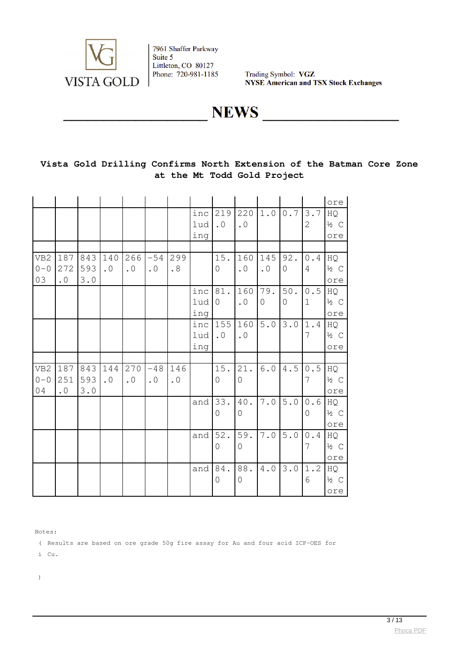

Trading Symbol: VGZ **NYSE American and TSX Stock Exchanges** 

**NEWS** 

### **Vista Gold Drilling Confirms North Extension of the Batman Core Zone at the Mt Todd Gold Project**

|                                  |                         |                           |                               |                  |                    |                  |                   |                            |                       |                    |                 |                       | ore                          |
|----------------------------------|-------------------------|---------------------------|-------------------------------|------------------|--------------------|------------------|-------------------|----------------------------|-----------------------|--------------------|-----------------|-----------------------|------------------------------|
|                                  |                         |                           |                               |                  |                    |                  | inc<br>lud<br>ing | 219<br>$\cdot$ 0           | 220<br>$\cdot$ 0      | 1.0                | 0.7             | 3.7<br>$\overline{2}$ | HQ<br>$\frac{1}{2}$ C<br>ore |
|                                  |                         |                           |                               |                  |                    |                  |                   |                            |                       |                    |                 |                       |                              |
| VB <sub>2</sub><br>$0 - 0$<br>03 | 187<br>272<br>$\cdot$ 0 | 843<br>593<br>3.0         | 140<br>$\cdot$ 0              | 266<br>$\cdot$ 0 | $-54$<br>$\cdot$ 0 | 299<br>.8        |                   | 15.<br>$\overline{0}$      | 160<br>$\cdot$ 0      | 145<br>$\cdot$ 0   | 92.<br>$\Omega$ | 0.4<br>4              | HQ<br>$\frac{1}{2}$ C<br>ore |
|                                  |                         |                           |                               |                  |                    |                  | inc<br>lud<br>ing | 81.<br>$\mathsf{O}\xspace$ | 160<br>$\cdot$ 0      | 79.<br>$\mathbf 0$ | $50.$<br>0      | $0.5$<br>$\mathbf 1$  | HQ<br>$\frac{1}{2}$ C<br>ore |
|                                  |                         |                           |                               |                  |                    |                  | inc<br>lud<br>ing | 155<br>$\cdot$ 0           | 160<br>$\cdot$ 0      | $5.0$              | $3 \cdot 0$     | 1.4<br>7              | HQ<br>$\frac{1}{2}$ C<br>ore |
|                                  |                         |                           |                               |                  |                    |                  |                   |                            |                       |                    |                 |                       |                              |
| VB <sub>2</sub><br>$0 - 0$<br>04 | 187<br>251<br>$\cdot$ 0 | 843<br>593<br>$3 \cdot 0$ | 144<br>$\boldsymbol{\cdot}$ 0 | 270<br>$\cdot$ 0 | $-48$<br>$\cdot$ 0 | 146<br>$\cdot$ 0 |                   | 15.<br>$\overline{0}$      | 21.<br>$\mathbf 0$    | $6.0$              | $4.5\,$         | $0.5$<br>7            | HQ<br>$\frac{1}{2}$ C<br>ore |
|                                  |                         |                           |                               |                  |                    |                  | and               | 33.<br>0                   | 40.<br>0              | 7.0                | $5.0$           | $0.6\,$<br>0          | HQ<br>$\frac{1}{2}$ C<br>ore |
|                                  |                         |                           |                               |                  |                    |                  | and               | 52.<br>$\Omega$            | 59.<br>$\overline{0}$ | $7 \cdot 0$        | $5.0$           | 0.4<br>7              | HQ<br>$\frac{1}{2}$ C<br>ore |
|                                  |                         |                           |                               |                  |                    |                  | and               | 84.<br>$\overline{0}$      | 88.<br>$\overline{0}$ | 4.0                | 3.0             | 1.2<br>6              | HQ<br>$\frac{1}{2}$ C<br>ore |

Notes:

( Results are based on ore grade 50g fire assay for Au and four acid ICP-OES for

i Cu.

)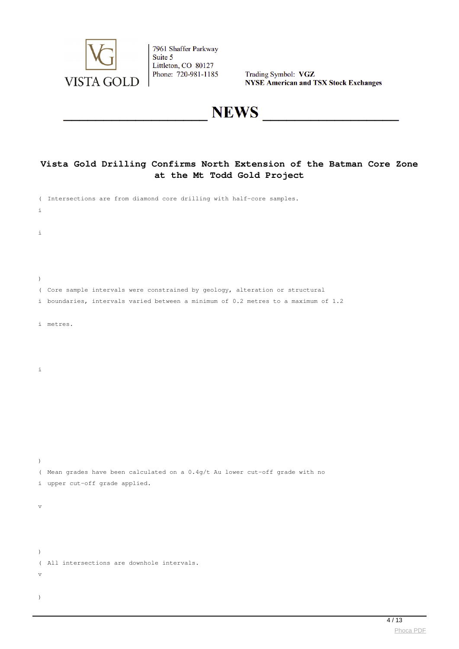

Trading Symbol: VGZ<br>NYSE American and TSX Stock Exchanges

# **NEWS**

### **Vista Gold Drilling Confirms North Extension of the Batman Core Zone at the Mt Todd Gold Project**

|                  | ( Intersections are from diamond core drilling with half-core samples.             |
|------------------|------------------------------------------------------------------------------------|
| i.               |                                                                                    |
| i                |                                                                                    |
|                  |                                                                                    |
|                  |                                                                                    |
| $\left( \right)$ |                                                                                    |
|                  | ( Core sample intervals were constrained by geology, alteration or structural      |
|                  | i boundaries, intervals varied between a minimum of 0.2 metres to a maximum of 1.2 |
|                  | i metres.                                                                          |
|                  |                                                                                    |
|                  |                                                                                    |
| i                |                                                                                    |
|                  |                                                                                    |
|                  |                                                                                    |
|                  |                                                                                    |
|                  |                                                                                    |
|                  |                                                                                    |
| $\left( \right)$ |                                                                                    |
|                  | ( Mean grades have been calculated on a 0.4g/t Au lower cut-off grade with no      |
|                  | i upper cut-off grade applied.                                                     |
| V                |                                                                                    |
|                  |                                                                                    |
|                  |                                                                                    |
| $\,$             |                                                                                    |
|                  | ( All intersections are downhole intervals.                                        |
| V                |                                                                                    |
| $\lambda$        |                                                                                    |
|                  |                                                                                    |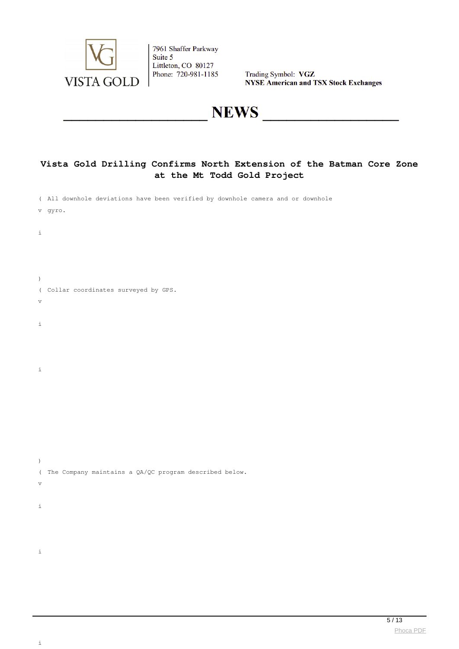

Trading Symbol: VGZ **NYSE American and TSX Stock Exchanges** 

# **NEWS**

### **Vista Gold Drilling Confirms North Extension of the Batman Core Zone at the Mt Todd Gold Project**

|  | (All downhole deviations have been verified by downhole camera and or downhole |  |  |  |  |  |
|--|--------------------------------------------------------------------------------|--|--|--|--|--|
|  |                                                                                |  |  |  |  |  |

- v gyro.
- i
- 
- 
- $\,$   $\,$ ( Collar coordinates surveyed by GPS.
- v
- i
- 
- 
- i

)

i

- ( The Company maintains a QA/QC program described below. v
- i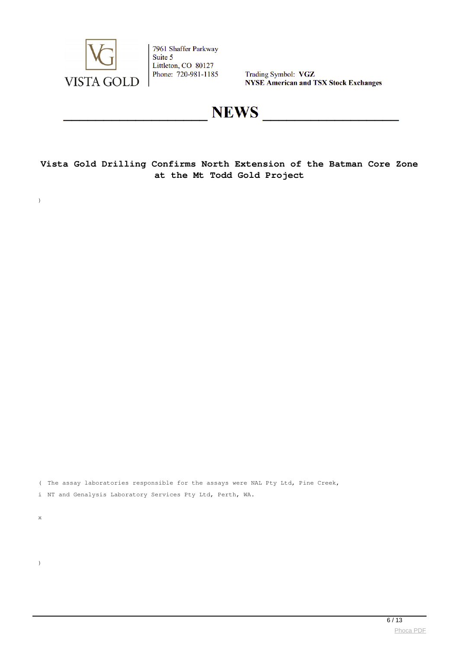

Trading Symbol: VGZ **NYSE American and TSX Stock Exchanges** 

## **NEWS**

**Vista Gold Drilling Confirms North Extension of the Batman Core Zone at the Mt Todd Gold Project**

( The assay laboratories responsible for the assays were NAL Pty Ltd, Pine Creek,

i NT and Genalysis Laboratory Services Pty Ltd, Perth, WA.

x

)

 $\overline{\phantom{a}}$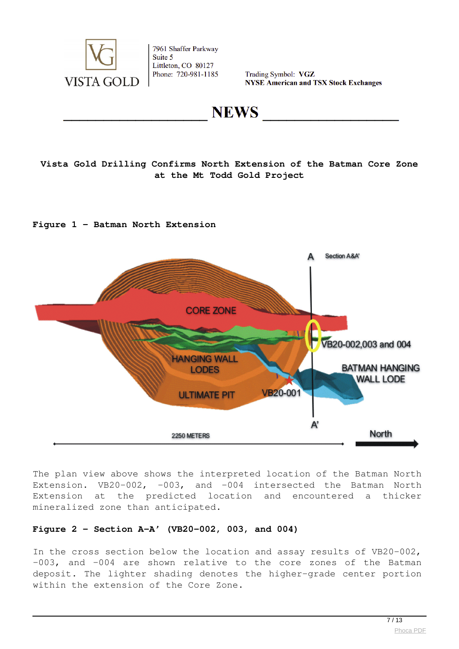

Trading Symbol: VGZ **NYSE American and TSX Stock Exchanges** 

**NEWS** 

### **Vista Gold Drilling Confirms North Extension of the Batman Core Zone at the Mt Todd Gold Project**

#### **Figure 1 – Batman North Extension**



The plan view above shows the interpreted location of the Batman North Extension. VB20-002, -003, and -004 intersected the Batman North Extension at the predicted location and encountered a thicker mineralized zone than anticipated.

#### **Figure 2 – Section A-A' (VB20-002, 003, and 004)**

In the cross section below the location and assay results of VB20-002, -003, and -004 are shown relative to the core zones of the Batman deposit. The lighter shading denotes the higher-grade center portion within the extension of the Core Zone.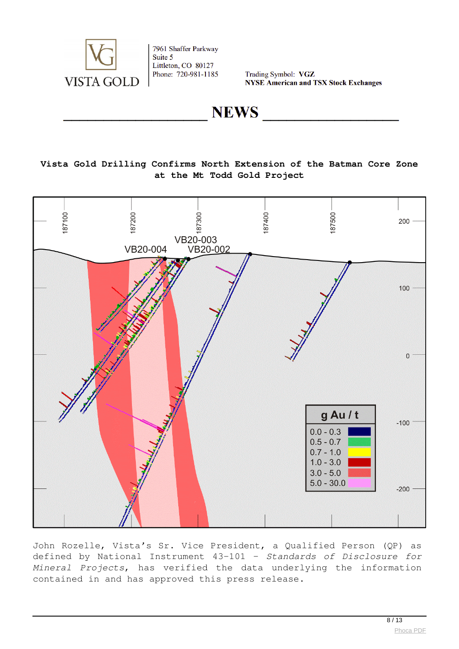

Trading Symbol: VGZ **NYSE American and TSX Stock Exchanges** 

**NEWS** 

#### **Vista Gold Drilling Confirms North Extension of the Batman Core Zone at the Mt Todd Gold Project**



John Rozelle, Vista's Sr. Vice President, a Qualified Person (QP) as defined by National Instrument 43-101 – *Standards of Disclosure for Mineral Projects*, has verified the data underlying the information contained in and has approved this press release.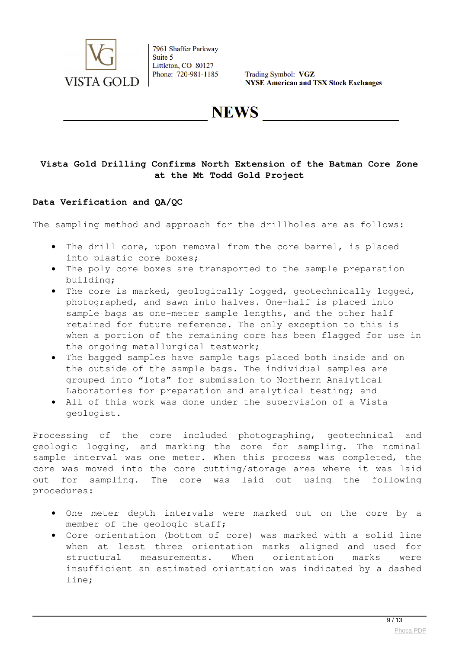

Trading Symbol: VGZ **NYSE American and TSX Stock Exchanges** 

**NEWS** 

#### **Vista Gold Drilling Confirms North Extension of the Batman Core Zone at the Mt Todd Gold Project**

#### **Data Verification and QA/QC**

The sampling method and approach for the drillholes are as follows:

- The drill core, upon removal from the core barrel, is placed into plastic core boxes;
- The poly core boxes are transported to the sample preparation building;
- The core is marked, geologically logged, geotechnically logged, photographed, and sawn into halves. One-half is placed into sample bags as one-meter sample lengths, and the other half retained for future reference. The only exception to this is when a portion of the remaining core has been flagged for use in the ongoing metallurgical testwork;
- The bagged samples have sample tags placed both inside and on the outside of the sample bags. The individual samples are grouped into "lots" for submission to Northern Analytical Laboratories for preparation and analytical testing; and
- All of this work was done under the supervision of a Vista geologist.

Processing of the core included photographing, geotechnical and geologic logging, and marking the core for sampling. The nominal sample interval was one meter. When this process was completed, the core was moved into the core cutting/storage area where it was laid out for sampling. The core was laid out using the following procedures:

- One meter depth intervals were marked out on the core by a member of the geologic staff;
- Core orientation (bottom of core) was marked with a solid line when at least three orientation marks aligned and used for structural measurements. When orientation marks were insufficient an estimated orientation was indicated by a dashed line;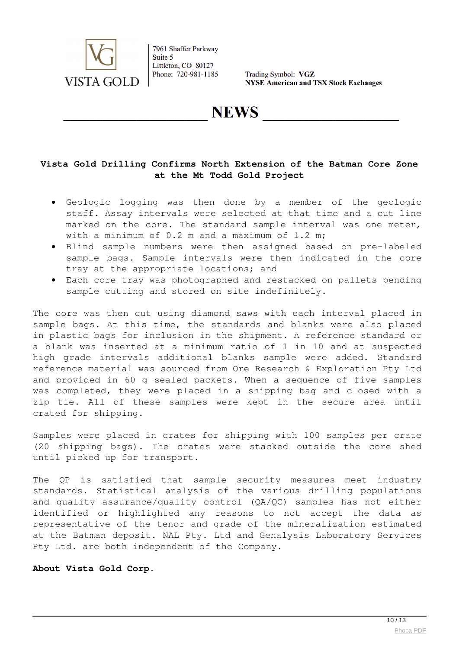

Trading Symbol: VGZ **NYSE American and TSX Stock Exchanges** 

**NEWS** 

#### **Vista Gold Drilling Confirms North Extension of the Batman Core Zone at the Mt Todd Gold Project**

- Geologic logging was then done by a member of the geologic staff. Assay intervals were selected at that time and a cut line marked on the core. The standard sample interval was one meter, with a minimum of 0.2 m and a maximum of 1.2 m;
- Blind sample numbers were then assigned based on pre-labeled sample bags. Sample intervals were then indicated in the core tray at the appropriate locations; and
- Each core tray was photographed and restacked on pallets pending sample cutting and stored on site indefinitely.

The core was then cut using diamond saws with each interval placed in sample bags. At this time, the standards and blanks were also placed in plastic bags for inclusion in the shipment. A reference standard or a blank was inserted at a minimum ratio of 1 in 10 and at suspected high grade intervals additional blanks sample were added. Standard reference material was sourced from Ore Research & Exploration Pty Ltd and provided in 60 g sealed packets. When a sequence of five samples was completed, they were placed in a shipping bag and closed with a zip tie. All of these samples were kept in the secure area until crated for shipping.

Samples were placed in crates for shipping with 100 samples per crate (20 shipping bags). The crates were stacked outside the core shed until picked up for transport.

The QP is satisfied that sample security measures meet industry standards. Statistical analysis of the various drilling populations and quality assurance/quality control (QA/QC) samples has not either identified or highlighted any reasons to not accept the data as representative of the tenor and grade of the mineralization estimated at the Batman deposit. NAL Pty. Ltd and Genalysis Laboratory Services Pty Ltd. are both independent of the Company.

#### **About Vista Gold Corp.**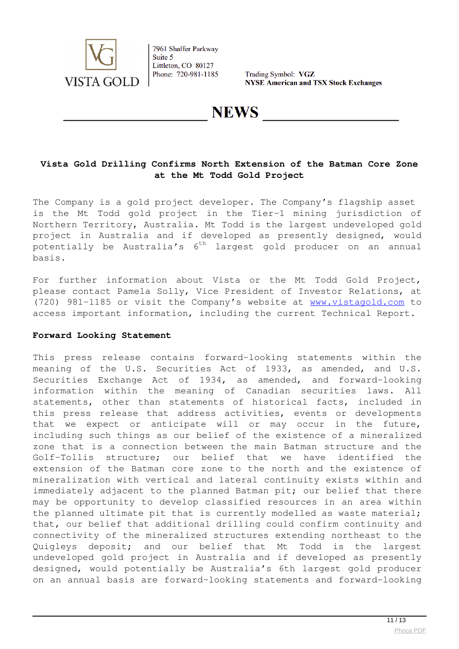

Trading Symbol: VGZ **NYSE American and TSX Stock Exchanges** 

## **NEWS**

#### **Vista Gold Drilling Confirms North Extension of the Batman Core Zone at the Mt Todd Gold Project**

The Company is a gold project developer. The Company's flagship asset is the Mt Todd gold project in the Tier-1 mining jurisdiction of Northern Territory, Australia. Mt Todd is the largest undeveloped gold project in Australia and if developed as presently designed, would potentially be Australia's 6<sup>th</sup> largest gold producer on an annual basis.

For further information about Vista or the Mt Todd Gold Project, please contact Pamela Solly, Vice President of Investor Relations, at (720) 981-1185 or visit the Company's website at **[www.vistagold.com](https://www.globenewswire.com/Tracker?data=jsSIHO_8N2QesbXOh5uHIHqSEzV_1IEjZG1NnpXzKlBIfZtOUKYIca561wjDuBoGvDwHybAIu3hCdfH241fGKg==)** to access important information, including the current Technical Report.

#### **Forward Looking Statement**

This press release contains forward-looking statements within the meaning of the U.S. Securities Act of 1933, as amended, and U.S. Securities Exchange Act of 1934, as amended, and forward-looking information within the meaning of Canadian securities laws. All statements, other than statements of historical facts, included in this press release that address activities, events or developments that we expect or anticipate will or may occur in the future, including such things as our belief of the existence of a mineralized zone that is a connection between the main Batman structure and the Golf-Tollis structure; our belief that we have identified the extension of the Batman core zone to the north and the existence of mineralization with vertical and lateral continuity exists within and immediately adjacent to the planned Batman pit; our belief that there may be opportunity to develop classified resources in an area within the planned ultimate pit that is currently modelled as waste material; that, our belief that additional drilling could confirm continuity and connectivity of the mineralized structures extending northeast to the Quigleys deposit; and our belief that Mt Todd is the largest undeveloped gold project in Australia and if developed as presently designed, would potentially be Australia's 6th largest gold producer on an annual basis are forward-looking statements and forward-looking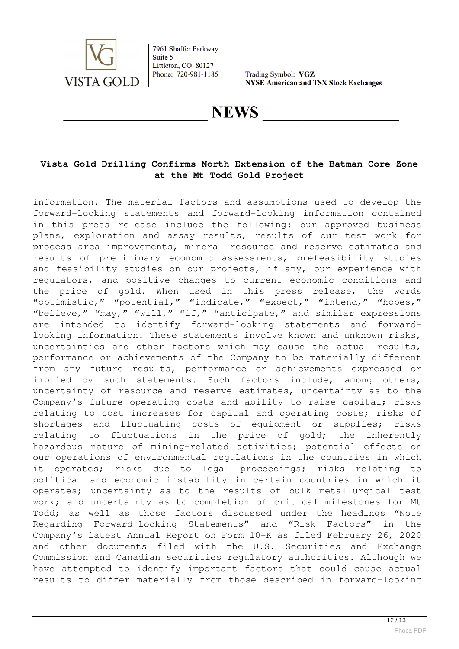

Trading Symbol: VGZ **NYSE American and TSX Stock Exchanges** 

## **NEWS**

#### **Vista Gold Drilling Confirms North Extension of the Batman Core Zone at the Mt Todd Gold Project**

information. The material factors and assumptions used to develop the forward-looking statements and forward-looking information contained in this press release include the following: our approved business plans, exploration and assay results, results of our test work for process area improvements, mineral resource and reserve estimates and results of preliminary economic assessments, prefeasibility studies and feasibility studies on our projects, if any, our experience with regulators, and positive changes to current economic conditions and the price of gold. When used in this press release, the words "optimistic," "potential," "indicate," "expect," "intend," "hopes," "believe," "may," "will," "if," "anticipate," and similar expressions are intended to identify forward-looking statements and forwardlooking information. These statements involve known and unknown risks, uncertainties and other factors which may cause the actual results, performance or achievements of the Company to be materially different from any future results, performance or achievements expressed or implied by such statements. Such factors include, among others, uncertainty of resource and reserve estimates, uncertainty as to the Company's future operating costs and ability to raise capital; risks relating to cost increases for capital and operating costs; risks of shortages and fluctuating costs of equipment or supplies; risks relating to fluctuations in the price of gold; the inherently hazardous nature of mining-related activities; potential effects on our operations of environmental regulations in the countries in which it operates; risks due to legal proceedings; risks relating to political and economic instability in certain countries in which it operates; uncertainty as to the results of bulk metallurgical test work; and uncertainty as to completion of critical milestones for Mt Todd; as well as those factors discussed under the headings "Note Regarding Forward-Looking Statements" and "Risk Factors" in the Company's latest Annual Report on Form 10-K as filed February 26, 2020 and other documents filed with the U.S. Securities and Exchange Commission and Canadian securities regulatory authorities. Although we have attempted to identify important factors that could cause actual results to differ materially from those described in forward-looking